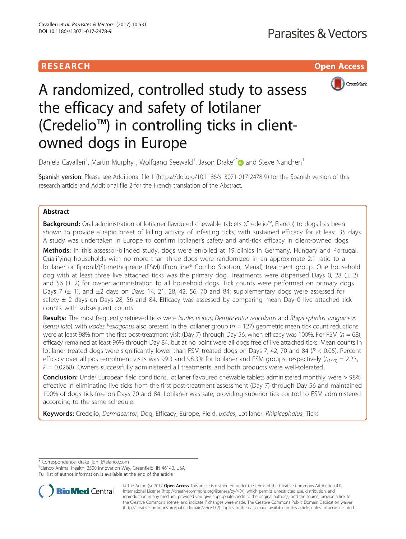## **RESEARCH CHILD CONTROL** CONTROL CONTROL CONTROL CONTROL CONTROL CONTROL CONTROL CONTROL CONTROL CONTROL CONTROL



# A randomized, controlled study to assess the efficacy and safety of lotilaner (Credelio™) in controlling ticks in clientowned dogs in Europe

Daniela Cavalleri<sup>1</sup>, Martin Murphy<sup>1</sup>, Wolfgang Seewald<sup>1</sup>, Jason Drake<sup>2\*</sup>@ and Steve Nanchen<sup>1</sup>

Spanish version: Please see Additional file [1](#page-6-0) (<https://doi.org/10.1186/s13071-017-2478-9>) for the Spanish version of this research article and Additional file [2](#page-6-0) for the French translation of the Abstract.

## Abstract

Background: Oral administration of lotilaner flavoured chewable tablets (Credelio™, Elanco) to dogs has been shown to provide a rapid onset of killing activity of infesting ticks, with sustained efficacy for at least 35 days. A study was undertaken in Europe to confirm lotilaner's safety and anti-tick efficacy in client-owned dogs.

Methods: In this assessor-blinded study, dogs were enrolled at 19 clinics in Germany, Hungary and Portugal. Qualifying households with no more than three dogs were randomized in an approximate 2:1 ratio to a lotilaner or fipronil/(S)-methoprene (FSM) (Frontline® Combo Spot-on, Merial) treatment group. One household dog with at least three live attached ticks was the primary dog. Treatments were dispensed Days 0, 28 ( $\pm$  2) and 56 ( $\pm$  2) for owner administration to all household dogs. Tick counts were performed on primary dogs Days 7 ( $\pm$  1), and  $\pm$ 2 days on Days 14, 21, 28, 42, 56, 70 and 84; supplementary dogs were assessed for safety  $\pm$  2 days on Days 28, 56 and 84. Efficacy was assessed by comparing mean Day 0 live attached tick counts with subsequent counts.

Results: The most frequently retrieved ticks were Ixodes ricinus, Dermacentor reticulatus and Rhipicephalus sanguineus (sensu lato), with *Ixodes hexagonus* also present. In the lotilaner group ( $n = 127$ ) geometric mean tick count reductions were at least 98% from the first post-treatment visit (Day 7) through Day 56, when efficacy was 100%. For FSM ( $n = 68$ ), efficacy remained at least 96% through Day 84, but at no point were all dogs free of live attached ticks. Mean counts in lotilaner-treated dogs were significantly lower than FSM-treated dogs on Days 7, 42, 70 and 84 ( $P < 0.05$ ). Percent efficacy over all post-enrolment visits was 99.3 and 98.3% for lotilaner and FSM groups, respectively ( $t_{(190)} = 2.23$ ,  $P = 0.0268$ ). Owners successfully administered all treatments, and both products were well-tolerated.

Conclusion: Under European field conditions, lotilaner flavoured chewable tablets administered monthly, were > 98% effective in eliminating live ticks from the first post-treatment assessment (Day 7) through Day 56 and maintained 100% of dogs tick-free on Days 70 and 84. Lotilaner was safe, providing superior tick control to FSM administered according to the same schedule.

Keywords: Credelio, Dermacentor, Dog, Efficacy, Europe, Field, Ixodes, Lotilaner, Rhipicephalus, Ticks

\* Correspondence: [drake\\_jon\\_j@elanco.com](mailto:drake_jon_j@elanco.com) <sup>2</sup>

<sup>2</sup> Elanco Animal Health, 2500 Innovation Way, Greenfield, IN 46140, USA Full list of author information is available at the end of the article



© The Author(s). 2017 **Open Access** This article is distributed under the terms of the Creative Commons Attribution 4.0 International License [\(http://creativecommons.org/licenses/by/4.0/](http://creativecommons.org/licenses/by/4.0/)), which permits unrestricted use, distribution, and reproduction in any medium, provided you give appropriate credit to the original author(s) and the source, provide a link to the Creative Commons license, and indicate if changes were made. The Creative Commons Public Domain Dedication waiver [\(http://creativecommons.org/publicdomain/zero/1.0/](http://creativecommons.org/publicdomain/zero/1.0/)) applies to the data made available in this article, unless otherwise stated.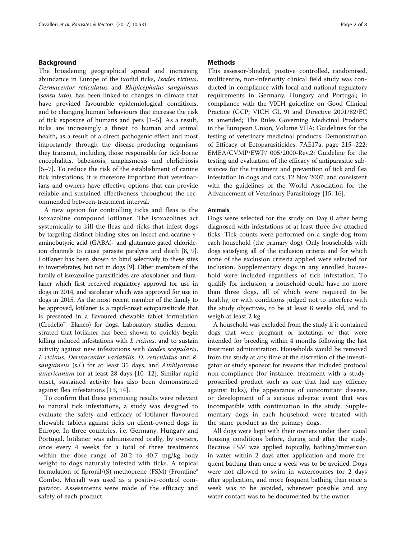## Background

The broadening geographical spread and increasing abundance in Europe of the ixodid ticks, Ixodes ricinus, Dermacentor reticulatus and Rhipicephalus sanguineus (sensu lato), has been linked to changes in climate that have provided favourable epidemiological conditions, and to changing human behaviours that increase the risk of tick exposure of humans and pets [[1](#page-7-0)–[5\]](#page-7-0). As a result, ticks are increasingly a threat to human and animal health, as a result of a direct pathogenic effect and most importantly through the disease-producing organisms they transmit, including those responsible for tick-borne encephalitis, babesiosis, anaplasmosis and ehrlichiosis [[5](#page-7-0)–[7\]](#page-7-0). To reduce the risk of the establishment of canine tick infestations, it is therefore important that veterinarians and owners have effective options that can provide reliable and sustained effectiveness throughout the recommended between-treatment interval.

A new option for controlling ticks and fleas is the isoxazoline compound lotilaner. The isoxazolines act systemically to kill the fleas and ticks that infest dogs by targeting distinct binding sites on insect and acarine γaminobutyric acid (GABA)- and glutamate-gated chlorideion channels to cause parasite paralysis and death [[8](#page-7-0), [9](#page-7-0)]. Lotilaner has been shown to bind selectively to these sites in invertebrates, but not in dogs [\[9](#page-7-0)]. Other members of the family of isoxazoline parasiticides are afoxolaner and fluralaner which first received regulatory approval for use in dogs in 2014, and sarolaner which was approved for use in dogs in 2015. As the most recent member of the family to be approved, lotilaner is a rapid-onset ectoparasiticide that is presented in a flavoured chewable tablet formulation (Credelio™, Elanco) for dogs. Laboratory studies demonstrated that lotilaner has been shown to quickly begin killing induced infestations with I. ricinus, and to sustain activity against new infestations with Ixodes scapularis, I. ricinus, Dermacentor variabilis, D. reticulatus and R. sanguineus (s.l.) for at least 35 days, and Amblyomma americanum for at least 28 days [[10](#page-7-0)–[12\]](#page-7-0). Similar rapid onset, sustained activity has also been demonstrated against flea infestations [\[13](#page-7-0), [14](#page-7-0)].

To confirm that these promising results were relevant to natural tick infestations, a study was designed to evaluate the safety and efficacy of lotilaner flavoured chewable tablets against ticks on client-owned dogs in Europe. In three countries, i.e. Germany, Hungary and Portugal, lotilaner was administered orally, by owners, once every 4 weeks for a total of three treatments within the dose range of 20.2 to 40.7 mg/kg body weight to dogs naturally infested with ticks. A topical formulation of fipronil/(S)-methoprene (FSM) (Frontline® Combo, Merial) was used as a positive-control comparator. Assessments were made of the efficacy and safety of each product.

## **Methods**

This assessor-blinded, positive controlled, randomised, multicentre, non-inferiority clinical field study was conducted in compliance with local and national regulatory requirements in Germany, Hungary and Portugal; in compliance with the VICH guideline on Good Clinical Practice (GCP; VICH GL 9) and Directive 2001/82/EC as amended; The Rules Governing Medicinal Products in the European Union, Volume VIIA: Guidelines for the testing of veterinary medicinal products: Demonstration of Efficacy of Ectoparasiticides, 7AE17a, page 215–222; EMEA/CVMP/EWP/ 005/2000-Rev.2: Guideline for the testing and evaluation of the efficacy of antiparasitic substances for the treatment and prevention of tick and flea infestation in dogs and cats, 12 Nov 2007; and consistent with the guidelines of the World Association for the Advancement of Veterinary Parasitology [\[15](#page-7-0), [16](#page-7-0)].

### Animals

Dogs were selected for the study on Day 0 after being diagnosed with infestations of at least three live attached ticks. Tick counts were performed on a single dog from each household (the primary dog). Only households with dogs satisfying all of the inclusion criteria and for which none of the exclusion criteria applied were selected for inclusion. Supplementary dogs in any enrolled household were included regardless of tick infestation. To qualify for inclusion, a household could have no more than three dogs, all of which were required to be healthy, or with conditions judged not to interfere with the study objectives, to be at least 8 weeks old, and to weigh at least 2 kg.

A household was excluded from the study if it contained dogs that were pregnant or lactating, or that were intended for breeding within 4 months following the last treatment administration. Households would be removed from the study at any time at the discretion of the investigator or study sponsor for reasons that included protocol non-compliance (for instance, treatment with a studyproscribed product such as one that had any efficacy against ticks), the appearance of concomitant disease, or development of a serious adverse event that was incompatible with continuation in the study. Supplementary dogs in each household were treated with the same product as the primary dogs.

All dogs were kept with their owners under their usual housing conditions before, during and after the study. Because FSM was applied topically, bathing/immersion in water within 2 days after application and more frequent bathing than once a week was to be avoided. Dogs were not allowed to swim in watercourses for 2 days after application, and more frequent bathing than once a week was to be avoided, wherever possible and any water contact was to be documented by the owner.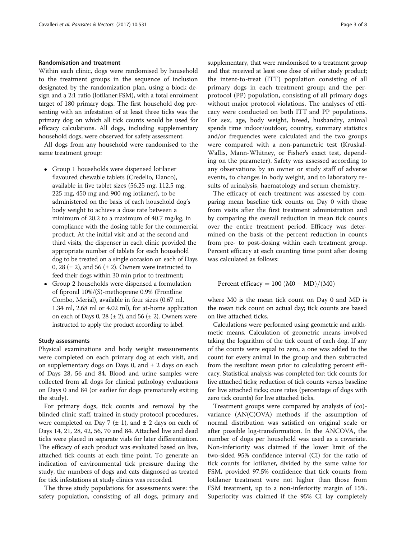## Randomisation and treatment

Within each clinic, dogs were randomised by household to the treatment groups in the sequence of inclusion designated by the randomization plan, using a block design and a 2:1 ratio (lotilaner:FSM), with a total enrolment target of 180 primary dogs. The first household dog presenting with an infestation of at least three ticks was the primary dog on which all tick counts would be used for efficacy calculations. All dogs, including supplementary household dogs, were observed for safety assessment.

All dogs from any household were randomised to the same treatment group:

- Group 1 households were dispensed lotilaner flavoured chewable tablets (Credelio, Elanco), available in five tablet sizes (56.25 mg, 112.5 mg, 225 mg, 450 mg and 900 mg lotilaner), to be administered on the basis of each household dog's body weight to achieve a dose rate between a minimum of 20.2 to a maximum of 40.7 mg/kg, in compliance with the dosing table for the commercial product. At the initial visit and at the second and third visits, the dispenser in each clinic provided the appropriate number of tablets for each household dog to be treated on a single occasion on each of Days 0, 28  $(\pm 2)$ , and 56  $(\pm 2)$ . Owners were instructed to feed their dogs within 30 min prior to treatment;
- Group 2 households were dispensed a formulation of fipronil 10%/(S)-methoprene 0.9% (Frontline Combo, Merial), available in four sizes (0.67 ml, 1.34 ml, 2.68 ml or 4.02 ml), for at-home application on each of Days 0, 28  $(\pm 2)$ , and 56  $(\pm 2)$ . Owners were instructed to apply the product according to label.

#### Study assessments

Physical examinations and body weight measurements were completed on each primary dog at each visit, and on supplementary dogs on Days 0, and  $\pm$  2 days on each of Days 28, 56 and 84. Blood and urine samples were collected from all dogs for clinical pathology evaluations on Days 0 and 84 (or earlier for dogs prematurely exiting the study).

For primary dogs, tick counts and removal by the blinded clinic staff, trained in study protocol procedures, were completed on Day 7 ( $\pm$  1), and  $\pm$  2 days on each of Days 14, 21, 28, 42, 56, 70 and 84. Attached live and dead ticks were placed in separate vials for later differentiation. The efficacy of each product was evaluated based on live, attached tick counts at each time point. To generate an indication of environmental tick pressure during the study, the numbers of dogs and cats diagnosed as treated for tick infestations at study clinics was recorded.

The three study populations for assessments were: the safety population, consisting of all dogs, primary and supplementary, that were randomised to a treatment group and that received at least one dose of either study product; the intent-to-treat (ITT) population consisting of all primary dogs in each treatment group; and the perprotocol (PP) population, consisting of all primary dogs without major protocol violations. The analyses of efficacy were conducted on both ITT and PP populations. For sex, age, body weight, breed, husbandry, animal spends time indoor/outdoor, country, summary statistics and/or frequencies were calculated and the two groups were compared with a non-parametric test (Kruskal-Wallis, Mann-Whitney, or Fisher's exact test, depending on the parameter). Safety was assessed according to any observations by an owner or study staff of adverse events, to changes in body weight, and to laboratory results of urinalysis, haematology and serum chemistry.

The efficacy of each treatment was assessed by comparing mean baseline tick counts on Day 0 with those from visits after the first treatment administration and by comparing the overall reduction in mean tick counts over the entire treatment period. Efficacy was determined on the basis of the percent reduction in counts from pre- to post-dosing within each treatment group. Percent efficacy at each counting time point after dosing was calculated as follows:

Percent efficacy =  $100 (M0 - MD)/(M0)$ 

where M0 is the mean tick count on Day 0 and MD is the mean tick count on actual day; tick counts are based on live attached ticks.

Calculations were performed using geometric and arithmetic means. Calculation of geometric means involved taking the logarithm of the tick count of each dog. If any of the counts were equal to zero, a one was added to the count for every animal in the group and then subtracted from the resultant mean prior to calculating percent efficacy. Statistical analysis was completed for: tick counts for live attached ticks; reduction of tick counts versus baseline for live attached ticks; cure rates (percentage of dogs with zero tick counts) for live attached ticks.

Treatment groups were compared by analysis of (co) variance (AN(C)OVA) methods if the assumption of normal distribution was satisfied on original scale or after possible log-transformation. In the ANCOVA, the number of dogs per household was used as a covariate. Non-inferiority was claimed if the lower limit of the two-sided 95% confidence interval (CI) for the ratio of tick counts for lotilaner, divided by the same value for FSM, provided 97.5% confidence that tick counts from lotilaner treatment were not higher than those from FSM treatment, up to a non-inferiority margin of 15%. Superiority was claimed if the 95% CI lay completely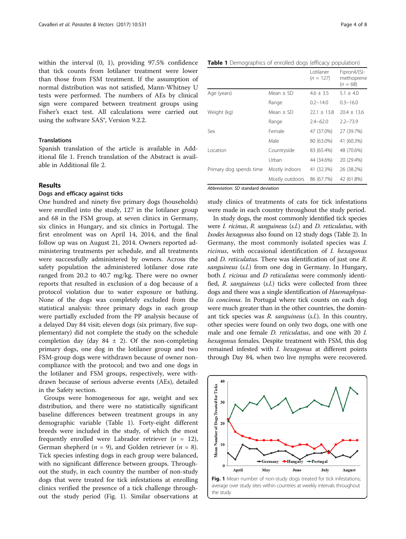within the interval (0, 1), providing 97.5% confidence that tick counts from lotilaner treatment were lower than those from FSM treatment. If the assumption of normal distribution was not satisfied, Mann-Whitney U tests were performed. The numbers of AEs by clinical sign were compared between treatment groups using Fisher's exact test. All calculations were carried out using the software SAS®, Version 9.2.2.

## **Translations**

Spanish translation of the article is available in Additional file [1](#page-6-0). French translation of the Abstract is available in Additional file [2](#page-6-0).

## Results

## Dogs and efficacy against ticks

One hundred and ninety five primary dogs (households) were enrolled into the study, 127 in the lotilaner group and 68 in the FSM group, at seven clinics in Germany, six clinics in Hungary, and six clinics in Portugal. The first enrolment was on April 14, 2014, and the final follow up was on August 21, 2014. Owners reported administering treatments per schedule, and all treatments were successfully administered by owners. Across the safety population the administered lotilaner dose rate ranged from 20.2 to 40.7 mg/kg. There were no owner reports that resulted in exclusion of a dog because of a protocol violation due to water exposure or bathing. None of the dogs was completely excluded from the statistical analysis: three primary dogs in each group were partially excluded from the PP analysis because of a delayed Day 84 visit; eleven dogs (six primary, five supplementary) did not complete the study on the schedule completion day (day  $84 \pm 2$ ). Of the non-completing primary dogs, one dog in the lotilaner group and two FSM-group dogs were withdrawn because of owner noncompliance with the protocol; and two and one dogs in the lotilaner and FSM groups, respectively, were withdrawn because of serious adverse events (AEs), detailed in the Safety section.

Groups were homogeneous for age, weight and sex distribution, and there were no statistically significant baseline differences between treatment groups in any demographic variable (Table 1). Forty-eight different breeds were included in the study, of which the most frequently enrolled were Labrador retriever  $(n = 12)$ , German shepherd ( $n = 9$ ), and Golden retriever ( $n = 8$ ). Tick species infesting dogs in each group were balanced, with no significant difference between groups. Throughout the study, in each country the number of non-study dogs that were treated for tick infestations at enrolling clinics verified the presence of a tick challenge throughout the study period (Fig. 1). Similar observations at

|                         |                 | Lotilaner<br>$(n = 127)$ | Fipronil/(S)-<br>methoprene<br>$(n = 68)$ |
|-------------------------|-----------------|--------------------------|-------------------------------------------|
| Age (years)             | Mean $\pm$ SD   | $4.6 \pm 3.5$            | $5.1 \pm 4.0$                             |
|                         | Range           | $0.2 - 14.0$             | $0.3 - 16.0$                              |
| Weight (kg)             | Mean $\pm$ SD   | $22.1 \pm 13.8$          | $20.4 \pm 13.6$                           |
|                         | Range           | $24 - 62.0$              | $2.2 - 73.9$                              |
| Sex                     | Female          | 47 (37.0%)               | 27 (39.7%)                                |
|                         | Male            | 80 (63.0%)               | 41 (60.3%)                                |
| Location                | Countryside     | 83 (65.4%)               | 48 (70.6%)                                |
|                         | Urban           | 44 (34.6%)               | 20 (29.4%)                                |
| Primary dog spends time | Mostly indoors  | 41 (32.3%)               | 26 (38.2%)                                |
|                         | Mostly outdoors | 86 (67.7%)               | 42 (61.8%)                                |

Abbreviation: SD standard deviation

study clinics of treatments of cats for tick infestations were made in each country throughout the study period.

In study dogs, the most commonly identified tick species were I. ricinus, R. sanguineus (s.l.) and D. reticulatus, with Ixodes hexagonus also found on 12 study dogs (Table [2](#page-4-0)). In Germany, the most commonly isolated species was I. ricinus, with occasional identification of I. hexagonus and D. reticulatus. There was identification of just one R. sanguineus (s.l.) from one dog in Germany. In Hungary, both *I. ricinus* and *D reticulatus* were commonly identified, R. sanguineus (s.l.) ticks were collected from three dogs and there was a single identification of Haemaphysalis concinna. In Portugal where tick counts on each dog were much greater than in the other countries, the dominant tick species was R. sanguineus (s.l.). In this country, other species were found on only two dogs, one with one male and one female D. reticulatus, and one with 20 I. hexagonus females. Despite treatment with FSM, this dog remained infested with *I. hexagonus* at different points through Day 84, when two live nymphs were recovered.





Table 1 Demographics of enrolled dogs (efficacy population)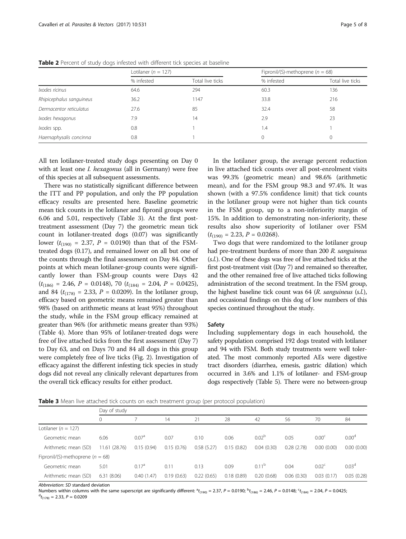|                          | Lotilaner ( $n = 127$ ) |                  | Fipronil/(S)-methoprene ( $n = 68$ ) |                  |  |
|--------------------------|-------------------------|------------------|--------------------------------------|------------------|--|
|                          | % infested              | Total live ticks | % infested                           | Total live ticks |  |
| Ixodes ricinus           | 64.6                    | 294              | 60.3                                 | 136              |  |
| Rhipicephalus sanguineus | 36.2                    | 1147             | 33.8                                 | 216              |  |
| Dermacentor reticulatus  | 27.6                    | 85               | 32.4                                 | 58               |  |
| Ixodes hexagonus         | 7.9                     | 14               | 2.9                                  | 23               |  |
| Ixodes spp.              | 0.8                     |                  | 1.4                                  |                  |  |
| Haemaphysalis concinna   | 0.8                     |                  | 0                                    |                  |  |

<span id="page-4-0"></span>Table 2 Percent of study dogs infested with different tick species at baseline

All ten lotilaner-treated study dogs presenting on Day 0 with at least one *I. hexagonus* (all in Germany) were free of this species at all subsequent assessments.

There was no statistically significant difference between the ITT and PP population, and only the PP population efficacy results are presented here. Baseline geometric mean tick counts in the lotilaner and fipronil groups were 6.06 and 5.01, respectively (Table 3). At the first posttreatment assessment (Day 7) the geometric mean tick count in lotilaner-treated dogs (0.07) was significantly lower ( $t_{(190)}$  = 2.37, P = 0.0190) than that of the FSMtreated dogs (0.17), and remained lower on all but one of the counts through the final assessment on Day 84. Other points at which mean lotilaner-group counts were significantly lower than FSM-group counts were Days 42  $(t_{(186)} = 2.46, P = 0.0148), 70 (t_{(184)} = 2.04, P = 0.0425),$ and 84 ( $t_{(178)} = 2.33$ ,  $P = 0.0209$ ). In the lotilaner group, efficacy based on geometric means remained greater than 98% (based on arithmetic means at least 95%) throughout the study, while in the FSM group efficacy remained at greater than 96% (for arithmetic means greater than 93%) (Table [4](#page-5-0)). More than 95% of lotilaner-treated dogs were free of live attached ticks from the first assessment (Day 7) to Day 63, and on Days 70 and 84 all dogs in this group were completely free of live ticks (Fig. [2\)](#page-5-0). Investigation of efficacy against the different infesting tick species in study dogs did not reveal any clinically relevant departures from the overall tick efficacy results for either product.

In the lotilaner group, the average percent reduction in live attached tick counts over all post-enrolment visits was 99.3% (geometric mean) and 98.6% (arithmetic mean), and for the FSM group 98.3 and 97.4%. It was shown (with a 97.5% confidence limit) that tick counts in the lotilaner group were not higher than tick counts in the FSM group, up to a non-inferiority margin of 15%. In addition to demonstrating non-inferiority, these results also show superiority of lotilaner over FSM  $(t_{(190)} = 2.23, P = 0.0268).$ 

Two dogs that were randomized to the lotilaner group had pre-treatment burdens of more than 200 R. sanguineus (s.l.). One of these dogs was free of live attached ticks at the first post-treatment visit (Day 7) and remained so thereafter, and the other remained free of live attached ticks following administration of the second treatment. In the FSM group, the highest baseline tick count was 64 (R. sanguineus (s.l.), and occasional findings on this dog of low numbers of this species continued throughout the study.

#### Safety

Including supplementary dogs in each household, the safety population comprised 192 dogs treated with lotilaner and 94 with FSM. Both study treatments were well tolerated. The most commonly reported AEs were digestive tract disorders (diarrhea, emesis, gastric dilation) which occurred in 3.6% and 1.1% of lotilaner- and FSM-group dogs respectively (Table [5\)](#page-5-0). There were no between-group

Table 3 Mean live attached tick counts on each treatment group (per protocol population)

|                                      | Day of study  |                   |            |            |            |                   |            |                   |                   |
|--------------------------------------|---------------|-------------------|------------|------------|------------|-------------------|------------|-------------------|-------------------|
|                                      |               |                   | 14         | 21         | 28         | 42                | 56         | 70                | 84                |
| Lotilaner ( $n = 127$ )              |               |                   |            |            |            |                   |            |                   |                   |
| Geometric mean                       | 6.06          | 0.07 <sup>a</sup> | 0.07       | 0.10       | 0.06       | 0.02 <sup>b</sup> | 0.05       | 0.00 <sup>c</sup> | 0.00 <sup>d</sup> |
| Arithmetic mean (SD)                 | 11.61 (28.76) | 0.15(0.94)        | 0.15(0.76) | 0.58(5.27) | 0.15(0.82) | 0.04(0.30)        | 0.28(2.78) | 0.00(0.00)        | 0.00(0.00)        |
| Fipronil/(S)-methoprene ( $n = 68$ ) |               |                   |            |            |            |                   |            |                   |                   |
| Geometric mean                       | 5.01          | 0.17 <sup>a</sup> | 0.11       | 0.13       | 0.09       | $0.11^{b}$        | 0.04       | 0.02 <sup>c</sup> | 0.03 <sup>d</sup> |
| Arithmetic mean (SD)                 | 6.31(8.06)    | 0.40(1.47)        | 0.19(0.63) | 0.22(0.65) | 0.18(0.89) | 0.20(0.68)        | 0.06(0.30) | 0.03(0.17)        | 0.05(0.28)        |

Abbreviation: SD standard deviation

Numbers within columns with the same superscript are significantly different:  ${}^3t_{(190)} = 2.37$ ,  $P = 0.0190$ ;  ${}^{\text{b}}t_{(186)} = 2.46$ ,  $P = 0.0148$ ;  ${}^{\text{c}}t_{(184)} = 2.04$ ,  $P = 0.0425$ ;  ${}^4t_{(186)} = 2.37$ ,  $P = 0.0190$ ;  ${}^$  $t_{(178)} = 2.33, P = 0.0209$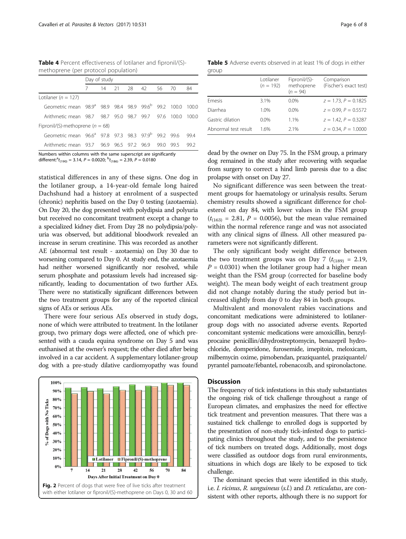<span id="page-5-0"></span>Table 4 Percent effectiveness of lotilaner and fipronil/(S)methoprene (per protocol population)

|                                                                              | Day of study |    |  |  |          |      |      |       |
|------------------------------------------------------------------------------|--------------|----|--|--|----------|------|------|-------|
|                                                                              |              | 14 |  |  | 21 28 42 | -56  | 70   | 84    |
| Lotilaner ( $n = 127$ )                                                      |              |    |  |  |          |      |      |       |
| Geometric mean 98.9 <sup>a</sup> 98.9 98.4 98.9 99.6 <sup>b</sup> 99.2 100.0 |              |    |  |  |          |      |      | 1000  |
| Arithmetic mean 98.7 98.7 95.0 98.7 99.7                                     |              |    |  |  |          | 976  | 1000 | 100 O |
| Fipronil/(S)-methoprene ( $n = 68$ )                                         |              |    |  |  |          |      |      |       |
| Geometric mean 96.6 <sup>a</sup> 97.8 97.3 98.3 97.9 <sup>b</sup> 99.2 99.6  |              |    |  |  |          |      |      | 994   |
| Arithmetic mean 93.7 96.9 96.5 97.2 96.9                                     |              |    |  |  |          | 99 N | 995  | 99.2  |
| Numbers within columns with the same superscript are significantly           |              |    |  |  |          |      |      |       |

different:<sup>a</sup>t<sub>(190)</sub> = 3.14, P = 0.0020; <sup>b</sup>t<sub>(186)</sub> = 2.39, P = 0.0180

statistical differences in any of these signs. One dog in the lotilaner group, a 14-year-old female long haired Dachshund had a history at enrolment of a suspected (chronic) nephritis based on the Day 0 testing (azotaemia). On Day 20, the dog presented with polydipsia and polyuria but received no concomitant treatment except a change to a specialized kidney diet. From Day 28 no polydipsia/polyuria was observed, but additional bloodwork revealed an increase in serum creatinine. This was recorded as another AE (abnormal test result - azotaemia) on Day 30 due to worsening compared to Day 0. At study end, the azotaemia had neither worsened significantly nor resolved, while serum phosphate and potassium levels had increased significantly, leading to documentation of two further AEs. There were no statistically significant differences between the two treatment groups for any of the reported clinical signs of AEs or serious AEs.

There were four serious AEs observed in study dogs, none of which were attributed to treatment. In the lotilaner group, two primary dogs were affected, one of which presented with a cauda equina syndrome on Day 5 and was euthanised at the owner's request; the other died after being involved in a car accident. A supplementary lotilaner-group dog with a pre-study dilative cardiomyopathy was found



Table 5 Adverse events observed in at least 1% of dogs in either group

|                      | Lotilaner<br>$(n = 192)$ | Fipronil/(S)-<br>methoprene<br>$(n = 94)$ | Comparison<br>(Fischer's exact test) |
|----------------------|--------------------------|-------------------------------------------|--------------------------------------|
| <b>Emesis</b>        | 3.1%                     | 0.0%                                      | $z = 1.73$ , $P = 0.1825$            |
| Diarrhea             | 1.0%                     | 0.0%                                      | $z = 0.99$ , $P = 0.5572$            |
| Gastric dilation     | 0.0%                     | 1.1%                                      | $z = 1.42$ , $P = 0.3287$            |
| Abnormal test result | 1.6%                     | 2.1%                                      | $z = 0.34$ , $P = 1.0000$            |

dead by the owner on Day 75. In the FSM group, a primary dog remained in the study after recovering with sequelae from surgery to correct a hind limb paresis due to a disc prolapse with onset on Day 27.

No significant difference was seen between the treatment groups for haematology or urinalysis results. Serum chemistry results showed a significant difference for cholesterol on day 84, with lower values in the FSM group  $(t<sub>(163)</sub> = 2.81, P = 0.0056)$ , but the mean value remained within the normal reference range and was not associated with any clinical signs of illness. All other measured parameters were not significantly different.

The only significant body weight difference between the two treatment groups was on Day 7 ( $t_{(189)} = 2.19$ ,  $P = 0.0301$ ) when the lotilaner group had a higher mean weight than the FSM group (corrected for baseline body weight). The mean body weight of each treatment group did not change notably during the study period but increased slightly from day 0 to day 84 in both groups.

Multivalent and monovalent rabies vaccinations and concomitant medications were administered to lotilanergroup dogs with no associated adverse events. Reported concomitant systemic medications were amoxicillin, benzylprocaine penicillin/dihydrostreptomycin, benazepril hydrochloride, domperidone, furosemide, imepitoin, meloxicam, milbemycin oxime, pimobendan, praziquantel, praziquantel/ pyrantel pamoate/febantel, robenacoxib, and spironolactone.

## **Discussion**

The frequency of tick infestations in this study substantiates the ongoing risk of tick challenge throughout a range of European climates, and emphasizes the need for effective tick treatment and prevention measures. That there was a sustained tick challenge to enrolled dogs is supported by the presentation of non-study tick-infested dogs to participating clinics throughout the study, and to the persistence of tick numbers on treated dogs. Additionally, most dogs were classified as outdoor dogs from rural environments, situations in which dogs are likely to be exposed to tick challenge.

The dominant species that were identified in this study, i.e. I. ricinus, R. sanguineus (s.l.) and D. reticulatus, are consistent with other reports, although there is no support for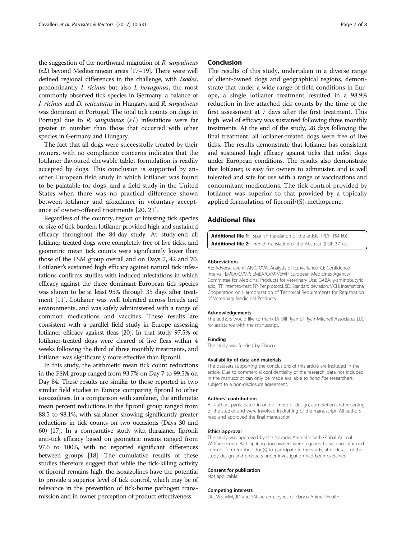<span id="page-6-0"></span>the suggestion of the northward migration of R. sanguineus (s.l.) beyond Mediterranean areas [\[17](#page-7-0)–[19\]](#page-7-0). There were well defined regional differences in the challenge, with Ixodes, predominantly *I. ricinus* but also *I. hexagonus*, the most commonly observed tick species in Germany, a balance of I. ricinus and D. reticulatus in Hungary, and R. sanguineus was dominant in Portugal. The total tick counts on dogs in Portugal due to R. sanguineus (s.l.) infestations were far greater in number than those that occurred with other species in Germany and Hungary.

The fact that all dogs were successfully treated by their owners, with no compliance concerns indicates that the lotilaner flavoured chewable tablet formulation is readily accepted by dogs. This conclusion is supported by another European field study in which lotilaner was found to be palatable for dogs, and a field study in the United States when there was no practical difference shown between lotilaner and afoxalaner in voluntary acceptance of owner-offered treatments [[20](#page-7-0), [21](#page-7-0)].

Regardless of the country, region or infesting tick species or size of tick burden, lotilaner provided high and sustained efficacy throughout the 84-day study. At study-end all lotilaner-treated dogs were completely free of live ticks, and geometric mean tick counts were significantly lower than those of the FSM group overall and on Days 7, 42 and 70. Lotilaner's sustained high efficacy against natural tick infestations confirms studies with induced infestations in which efficacy against the three dominant European tick species was shown to be at least 95% through 35 days after treatment [\[11\]](#page-7-0). Lotilaner was well tolerated across breeds and environments, and was safely administered with a range of common medications and vaccines. These results are consistent with a parallel field study in Europe assessing lotilaner efficacy against fleas [\[20](#page-7-0)]. In that study 97.5% of lotilaner-treated dogs were cleared of live fleas within 4 weeks following the third of three monthly treatments, and lotilaner was significantly more effective than fipronil.

In this study, the arithmetic mean tick count reductions in the FSM group ranged from 93.7% on Day 7 to 99.5% on Day 84. These results are similar to those reported in two similar field studies in Europe comparing fipronil to other isoxazolines. In a comparison with sarolaner, the arithmetic mean percent reductions in the fipronil group ranged from 88.5 to 98.1%, with sarolaner showing significantly greater reductions in tick counts on two occasions (Days 30 and 60) [\[17](#page-7-0)]. In a comparative study with fluralaner, fipronil anti-tick efficacy based on geometric means ranged from 97.6 to 100%, with no reported significant differences between groups [[18](#page-7-0)]. The cumulative results of these studies therefore suggest that while the tick-killing activity of fipronil remains high, the isoxazolines have the potential to provide a superior level of tick control, which may be of relevance in the prevention of tick-borne pathogen transmission and in owner perception of product effectiveness.

## Conclusion

The results of this study, undertaken in a diverse range of client-owned dogs and geographical regions, demonstrate that under a wide range of field conditions in Europe, a single lotilaner treatment resulted in a 98.9% reduction in live attached tick counts by the time of the first assessment at 7 days after the first treatment. This high level of efficacy was sustained following three monthly treatments. At the end of the study, 28 days following the final treatment, all lotilaner-treated dogs were free of live ticks. The results demonstrate that lotilaner has consistent and sustained high efficacy against ticks that infest dogs under European conditions. The results also demonstrate that lotilaner, is easy for owners to administer, and is well tolerated and safe for use with a range of vaccinations and concomitant medications. The tick control provided by lotilaner was superior to that provided by a topically applied formulation of fipronil/(S)-methoprene.

## Additional files

[Additional file 1:](dx.doi.org/10.1186/s13071-017-2478-9) Spanish translation of the article. (PDF 154 kb) [Additional file 2:](dx.doi.org/10.1186/s13071-017-2478-9) French translation of the Abstract. (PDF 37 kb)

#### Abbreviations

AE: Adverse event; AN(C)OVA: Analysis of (co)variance; CI: Confidence interval; EMEA/CVMP: EMEA/CVMP/EWP European Medicines Agency/ Committee for Medicinal Products for Veterinary Use; GABA: γ-aminobutyric acid; ITT: Intent-to-treat; PP: Per protocol; SD: Standard deviation; VICH: International Cooperation on Harmonization of Technical Requirements for Registration of Veterinary Medicinal Products

#### Acknowledgements

The authors would like to thank Dr Bill Ryan of Ryan Mitchell Associates LLC for assistance with the manuscript.

#### Funding

The study was funded by Elanco.

## Availability of data and materials

The datasets supporting the conclusions of this article are included in the article. Due to commercial confidentiality of the research, data not included in the manuscript can only be made available to bona fide researchers subject to a non-disclosure agreement.

#### Authors' contributions

All authors participated in one or more of design, completion and reporting of the studies and were involved in drafting of the manuscript. All authors read and approved the final manuscript.

#### Ethics approval

The study was approved by the Novartis Animal Health Global Animal Welfare Group. Participating dog owners were required to sign an informed consent form for their dog(s) to participate in the study, after details of the study design and products under investigation had been explained.

#### Consent for publication

Not applicable.

#### Competing interests

DC, WS, MM, JD and SN are employees of Elanco Animal Health.